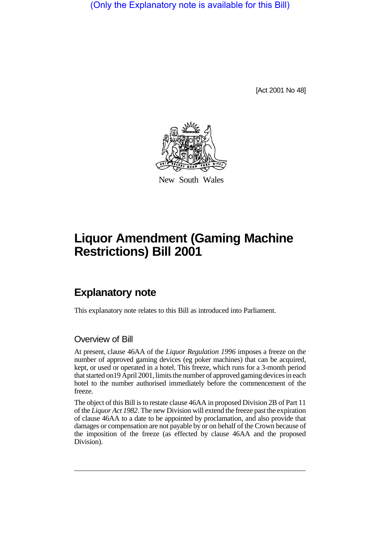(Only the Explanatory note is available for this Bill)

[Act 2001 No 48]



New South Wales

## **Liquor Amendment (Gaming Machine Restrictions) Bill 2001**

## **Explanatory note**

This explanatory note relates to this Bill as introduced into Parliament.

## Overview of Bill

At present, clause 46AA of the *Liquor Regulation 1996* imposes a freeze on the number of approved gaming devices (eg poker machines) that can be acquired, kept, or used or operated in a hotel. This freeze, which runs for a 3-month period that started on19 April 2001, limits the number of approved gaming devices in each hotel to the number authorised immediately before the commencement of the freeze.

The object of this Bill is to restate clause 46AA in proposed Division 2B of Part 11 of the *Liquor Act 1982*. The new Division will extend the freeze past the expiration of clause 46AA to a date to be appointed by proclamation, and also provide that damages or compensation are not payable by or on behalf of the Crown because of the imposition of the freeze (as effected by clause 46AA and the proposed Division).